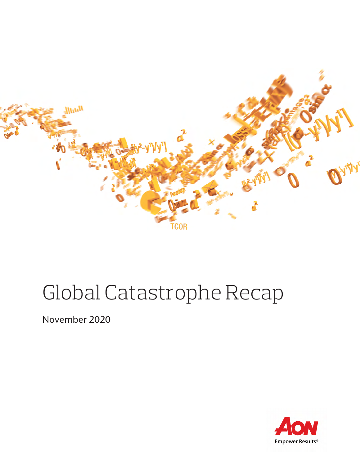

# Global Catastrophe Recap

November 2020

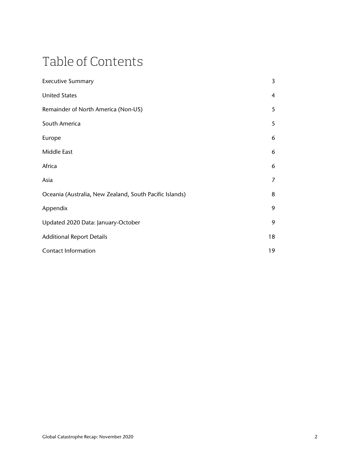## Table of Contents

| <b>Executive Summary</b>                                | 3              |
|---------------------------------------------------------|----------------|
| <b>United States</b>                                    | $\overline{4}$ |
| Remainder of North America (Non-US)                     | 5              |
| South America                                           | 5              |
| Europe                                                  | 6              |
| Middle East                                             | 6              |
| Africa                                                  | 6              |
| Asia                                                    | 7              |
| Oceania (Australia, New Zealand, South Pacific Islands) | 8              |
| Appendix                                                | 9              |
| Updated 2020 Data: January-October                      | 9              |
| <b>Additional Report Details</b>                        | 18             |
| <b>Contact Information</b>                              | 19             |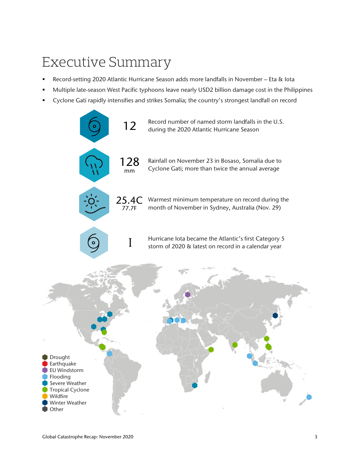## Executive Summary

- Record-setting 2020 Atlantic Hurricane Season adds more landfalls in November Eta & Iota
- Multiple late-season West Pacific typhoons leave nearly USD2 billion damage cost in the Philippines
- Cyclone Gati rapidly intensifies and strikes Somalia; the country's strongest landfall on record

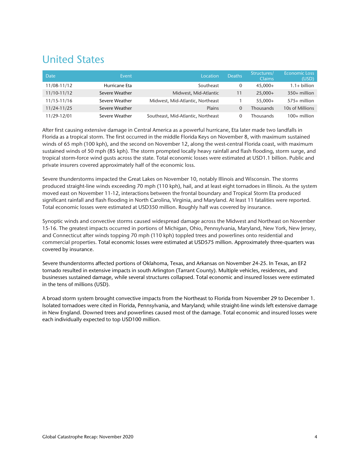### United States

| <b>Date</b> | Event          | Location                           | <b>Deaths</b> | Structures/<br><b>Claims</b> | <b>Economic Loss</b><br>(USD) |
|-------------|----------------|------------------------------------|---------------|------------------------------|-------------------------------|
| 11/08-11/12 | Hurricane Eta  | Southeast                          | 0             | $45.000+$                    | $1.1 + billion$               |
| 11/10-11/12 | Severe Weather | Midwest, Mid-Atlantic              | 11            | $25.000+$                    | $350+$ million                |
| 11/15-11/16 | Severe Weather | Midwest, Mid-Atlantic, Northeast   |               | 55.000+                      | 575+ million                  |
| 11/24-11/25 | Severe Weather | Plains                             | $\Omega$      | Thousands                    | 10s of Millions               |
| 11/29-12/01 | Severe Weather | Southeast, Mid-Atlantic, Northeast |               | Thousands                    | $100+$ million                |

After first causing extensive damage in Central America as a powerful hurricane, Eta later made two landfalls in Florida as a tropical storm. The first occurred in the middle Florida Keys on November 8, with maximum sustained winds of 65 mph (100 kph), and the second on November 12, along the west-central Florida coast, with maximum sustained winds of 50 mph (85 kph). The storm prompted locally heavy rainfall and flash flooding, storm surge, and tropical storm-force wind gusts across the state. Total economic losses were estimated at USD1.1 billion. Public and private insurers covered approximately half of the economic loss.

Severe thunderstorms impacted the Great Lakes on November 10, notably Illinois and Wisconsin. The storms produced straight-line winds exceeding 70 mph (110 kph), hail, and at least eight tornadoes in Illinois. As the system moved east on November 11-12, interactions between the frontal boundary and Tropical Storm Eta produced significant rainfall and flash flooding in North Carolina, Virginia, and Maryland. At least 11 fatalities were reported. Total economic losses were estimated at USD350 million. Roughly half was covered by insurance.

Synoptic winds and convective storms caused widespread damage across the Midwest and Northeast on November 15-16. The greatest impacts occurred in portions of Michigan, Ohio, Pennsylvania, Maryland, New York, New Jersey, and Connecticut after winds topping 70 mph (110 kph) toppled trees and powerlines onto residential and commercial properties. Total economic losses were estimated at USD575 million. Approximately three-quarters was covered by insurance.

Severe thunderstorms affected portions of Oklahoma, Texas, and Arkansas on November 24-25. In Texas, an EF2 tornado resulted in extensive impacts in south Arlington (Tarrant County). Multiple vehicles, residences, and businesses sustained damage, while several structures collapsed. Total economic and insured losses were estimated in the tens of millions (USD).

A broad storm system brought convective impacts from the Northeast to Florida from November 29 to December 1. Isolated tornadoes were cited in Florida, Pennsylvania, and Maryland; while straight-line winds left extensive damage in New England. Downed trees and powerlines caused most of the damage. Total economic and insured losses were each individually expected to top USD100 million.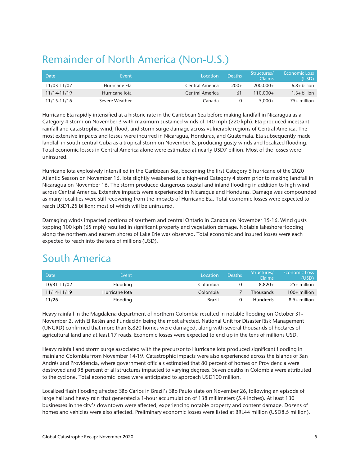### Remainder of North America (Non-U.S.)

| Date        | Event          | Location        | <b>Deaths</b> | Structures/<br>Claims | <b>Economic Loss</b><br>(USD) |
|-------------|----------------|-----------------|---------------|-----------------------|-------------------------------|
| 11/03-11/07 | Hurricane Eta  | Central America | $200+$        | $200.000+$            | $6.8+$ billion                |
| 11/14-11/19 | Hurricane lota | Central America | 61            | $110.000+$            | $1.3+$ billion                |
| 11/15-11/16 | Severe Weather | Canada          | $\Omega$      | $5.000+$              | $75+$ million                 |

Hurricane Eta rapidly intensified at a historic rate in the Caribbean Sea before making landfall in Nicaragua as a Category 4 storm on November 3 with maximum sustained winds of 140 mph (220 kph). Eta produced incessant rainfall and catastrophic wind, flood, and storm surge damage across vulnerable regions of Central America. The most extensive impacts and losses were incurred in Nicaragua, Honduras, and Guatemala. Eta subsequently made landfall in south central Cuba as a tropical storm on November 8, producing gusty winds and localized flooding. Total economic losses in Central America alone were estimated at nearly USD7 billion. Most of the losses were uninsured.

Hurricane Iota explosively intensified in the Caribbean Sea, becoming the first Category 5 hurricane of the 2020 Atlantic Season on November 16. Iota slightly weakened to a high-end Category 4 storm prior to making landfall in Nicaragua on November 16. The storm produced dangerous coastal and inland flooding in addition to high wind across Central America. Extensive impacts were experienced in Nicaragua and Honduras. Damage was compounded as many localities were still recovering from the impacts of Hurricane Eta. Total economic losses were expected to reach USD1.25 billion; most of which will be uninsured.

Damaging winds impacted portions of southern and central Ontario in Canada on November 15-16. Wind gusts topping 100 kph (65 mph) resulted in significant property and vegetation damage. Notable lakeshore flooding along the northern and eastern shores of Lake Erie was observed. Total economic and insured losses were each expected to reach into the tens of millions (USD).

### South America

| Date        | Event          | Location | <b>Deaths</b> | Structures/<br>Claims | <b>Economic Loss</b><br>(USD). |
|-------------|----------------|----------|---------------|-----------------------|--------------------------------|
| 10/31-11/02 | Flooding       | Colombia |               | $8.820+$              | $25+$ million                  |
| 11/14-11/19 | Hurricane lota | Colombia |               | <b>Thousands</b>      | $100+$ million                 |
| 11/26       | Flooding       | Brazil   |               | <b>Hundreds</b>       | $8.5+$ million                 |

Heavy rainfall in the Magdalena department of northern Colombia resulted in notable flooding on October 31- November 2, with El Retén and Fundación being the most affected. National Unit for Disaster Risk Management (UNGRD) confirmed that more than 8,820 homes were damaged, along with several thousands of hectares of agricultural land and at least 17 roads. Economic losses were expected to end up in the tens of millions USD.

Heavy rainfall and storm surge associated with the precursor to Hurricane Iota produced significant flooding in mainland Colombia from November 14-19. Catastrophic impacts were also experienced across the islands of San Andrés and Providencia, where government officials estimated that 80 percent of homes on Providencia were destroyed and 98 percent of all structures impacted to varying degrees. Seven deaths in Colombia were attributed to the cyclone. Total economic losses were anticipated to approach USD100 million.

Localized flash flooding affected São Carlos in Brazil's São Paulo state on November 26, following an episode of large hail and heavy rain that generated a 1-hour accumulation of 138 millimeters (5.4 inches). At least 130 businesses in the city's downtown were affected, experiencing notable property and content damage. Dozens of homes and vehicles were also affected. Preliminary economic losses were listed at BRL44 million (USD8.5 million).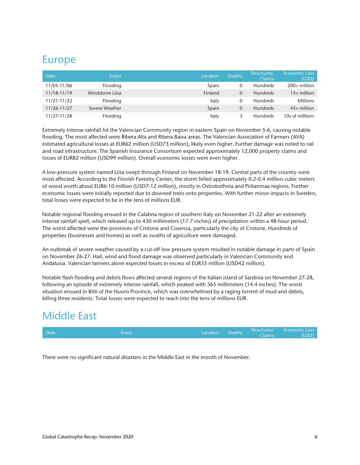### Europe

| Date        | Event           | Location | <b>Deaths</b> | Structures/<br><b>Claims</b> | <b>Economic Loss</b><br>(USD) |
|-------------|-----------------|----------|---------------|------------------------------|-------------------------------|
| 11/05-11/06 | Flooding        | Spain    | 0             | <b>Hundreds</b>              | $200+$ million                |
| 11/18-11/19 | Windstorm Lijsa | Finland  | 0             | <b>Hundreds</b>              | $15+$ million                 |
| 11/21-11/22 | Flooding        | Italy    | 0             | <b>Hundreds</b>              | Millions                      |
| 11/26-11/27 | Severe Weather  | Spain    | 0             | <b>Hundreds</b>              | $45+$ million                 |
| 11/27-11/28 | Flooding        | Italy    |               | <b>Hundreds</b>              | 10s of millions               |

Extremely intense rainfall hit the Valencian Community region in eastern Spain on November 5-6, causing notable flooding. The most affected were Ribera Alta and Ribera Baixa areas. The Valencian Association of Farmers (AVA) estimated agricultural losses at EUR62 million (USD73 million), likely even higher. Further damage was noted to rail and road infrastructure. The Spanish Insurance Consortium expected approximately 12,000 property claims and losses of EUR82 million (USD99 million). Overall economic losses were even higher.

A low-pressure system named Liisa swept through Finland on November 18-19. Central parts of the country were most affected. According to the Finnish Forestry Center, the storm felled approximately 0.2-0.4 million cubic meters of wood worth about EUR6-10 million (USD7-12 million), mostly in Ostrobothnia and Pirkanmaa regions. Further economic losses were initially reported due to downed trees onto properties. With further minor impacts in Sweden, total losses were expected to be in the tens of millions EUR.

Notable regional flooding ensued in the Calabria region of southern Italy on November 21-22 after an extremely intense rainfall spell, which released up to 450 millimeters (17.7 inches) of precipitation within a 48-hour period. The worst affected were the provinces of Crotone and Cosenza, particularly the city of Crotone. Hundreds of properties (businesses and homes) as well as swaths of agriculture were damaged.

An outbreak of severe weather caused by a cut-off low pressure system resulted in notable damage in parts of Spain on November 26-27. Hail, wind and flood damage was observed particularly in Valencian Community and Andalusia. Valencian farmers alone expected losses in excess of EUR35 million (USD42 million).

Notable flash flooding and debris flows affected several regions of the Italian island of Sardinia on November 27-28, following an episode of extremely intense rainfall, which peaked with 365 millimeters (14.4 inches). The worst situation ensued in Bitti of the Nuoro Province, which was overwhelmed by a raging torrent of mud and debris, killing three residents. Total losses were expected to reach into the tens of millions EUR.

### Middle East



There were no significant natural disasters in the Middle East in the month of November.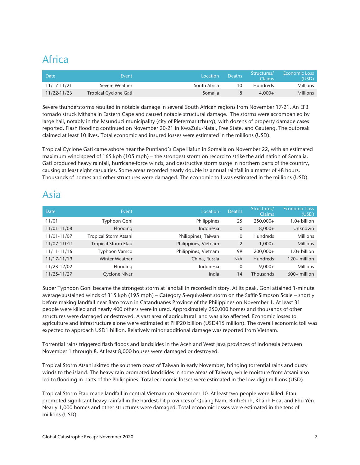### Africa

| <b>Date</b>     | Event                        | Location.    | Deaths | Structures/<br>Claims | <b>Economic Loss</b><br>(USD) |
|-----------------|------------------------------|--------------|--------|-----------------------|-------------------------------|
| 11/17-11/21     | Severe Weather               | South Africa | 10     | <b>Hundreds</b>       | <b>Millions</b>               |
| $11/22 - 11/23$ | <b>Tropical Cyclone Gati</b> | Somalia      |        | $4.000 +$             | <b>Millions</b>               |

Severe thunderstorms resulted in notable damage in several South African regions from November 17-21. An EF3 tornado struck Mthaha in Eastern Cape and caused notable structural damage. The storms were accompanied by large hail, notably in the Msunduzi municipality (city of Pietermaritzburg), with dozens of property damage cases reported. Flash flooding continued on November 20-21 in KwaZulu-Natal, Free State, and Gauteng. The outbreak claimed at least 10 lives. Total economic and insured losses were estimated in the millions (USD).

Tropical Cyclone Gati came ashore near the Puntland's Cape Hafun in Somalia on November 22, with an estimated maximum wind speed of 165 kph (105 mph) – the strongest storm on record to strike the arid nation of Somalia. Gati produced heavy rainfall, hurricane-force winds, and destructive storm surge in northern parts of the country, causing at least eight casualties. Some areas recorded nearly double its annual rainfall in a matter of 48 hours. Thousands of homes and other structures were damaged. The economic toll was estimated in the millions (USD).

#### Asia

| Date            | Event                      | Location             | <b>Deaths</b>  | Structures/<br><b>Claims</b> | <b>Economic Loss</b><br>(USD) |
|-----------------|----------------------------|----------------------|----------------|------------------------------|-------------------------------|
| 11/01           | Typhoon Goni               | Philippines          | 25             | 250,000+                     | $1.0+$ billion                |
| 11/01-11/08     | Flooding                   | Indonesia            | $\overline{0}$ | $8,000+$                     | Unknown                       |
| 11/01-11/07     | Tropical Storm Atsani      | Philippines, Taiwan  | 0              | <b>Hundreds</b>              | <b>Millions</b>               |
| 11/07-11011     | <b>Tropical Storm Etau</b> | Philippines, Vietnam | $\overline{2}$ | $1,000+$                     | <b>Millions</b>               |
| $11/11 - 11/16$ | Typhoon Vamco              | Philippines, Vietnam | 99             | 200,000+                     | $1.0+$ billion                |
| 11/17-11/19     | <b>Winter Weather</b>      | China, Russia        | N/A            | <b>Hundreds</b>              | 120+ million                  |
| 11/23-12/02     | Flooding                   | Indonesia            | 0              | $9,000+$                     | <b>Millions</b>               |
| 11/25-11/27     | Cyclone Nivar              | India                | 14             | Thousands                    | $600+$ million                |

Super Typhoon Goni became the strongest storm at landfall in recorded history. At its peak, Goni attained 1-minute average sustained winds of 315 kph (195 mph) – Category 5-equivalent storm on the Saffir-Simpson Scale – shortly before making landfall near Bato town in Catanduanes Province of the Philippines on November 1. At least 31 people were killed and nearly 400 others were injured. Approximately 250,000 homes and thousands of other structures were damaged or destroyed. A vast area of agricultural land was also affected. Economic losses to agriculture and infrastructure alone were estimated at PHP20 billion (USD415 million). The overall economic toll was expected to approach USD1 billion. Relatively minor additional damage was reported from Vietnam.

Torrential rains triggered flash floods and landslides in the Aceh and West Java provinces of Indonesia between November 1 through 8. At least 8,000 houses were damaged or destroyed.

Tropical Storm Atsani skirted the southern coast of Taiwan in early November, bringing torrential rains and gusty winds to the island. The heavy rain prompted landslides in some areas of Taiwan, while moisture from Atsani also led to flooding in parts of the Philippines. Total economic losses were estimated in the low-digit millions (USD).

Tropical Storm Etau made landfall in central Vietnam on November 10. At least two people were killed. Etau prompted significant heavy rainfall in the hardest-hit provinces of Quảng Nam, Bình Định, Khánh Hòa, and Phú Yên. Nearly 1,000 homes and other structures were damaged. Total economic losses were estimated in the tens of millions (USD).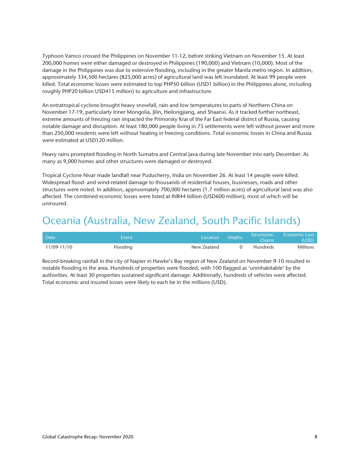Typhoon Vamco crossed the Philippines on November 11-12, before striking Vietnam on November 15. At least 200,000 homes were either damaged or destroyed in Philippines (190,000) and Vietnam (10,000). Most of the damage in the Philippines was due to extensive flooding, including in the greater Manila metro region. In addition, approximately 334,500 hectares (825,000 acres) of agricultural land was left inundated. At least 99 people were killed. Total economic losses were estimated to top PHP50 billion (USD1 billion) in the Philippines alone, including roughly PHP20 billion USD415 million) to agriculture and infrastructure.

An extratropical cyclone brought heavy snowfall, rain and low temperatures to parts of Northern China on November 17-19, particularly Inner Mongolia, Jilin, Heilongjiang, and Shaanxi. As it tracked further northeast, extreme amounts of freezing rain impacted the Primorsky Krai of the Far East federal district of Russia, causing notable damage and disruption. At least 180,000 people living in 73 settlements were left without power and more than 250,000 residents were left without heating in freezing conditions. Total economic losses in China and Russia were estimated at USD120 million.

Heavy rains prompted flooding in North Sumatra and Central Java during late November into early December. As many as 9,000 homes and other structures were damaged or destroyed.

Tropical Cyclone Nivar made landfall near Puducherry, India on November 26. At least 14 people were killed. Widespread flood- and wind-related damage to thousands of residential houses, businesses, roads and other structures were noted. In addition, approximately 700,000 hectares (1.7 million acres) of agricultural land was also affected. The combined economic losses were listed at INR44 billion (USD600 million); most of which will be uninsured.

### Oceania (Australia, New Zealand, South Pacific Islands)

| <b>Date</b> | Event    | Location    | Deaths | Structures/<br>Claims | <b>Economic Loss</b><br>(USD) |
|-------------|----------|-------------|--------|-----------------------|-------------------------------|
| 11/09-11/10 | Flooding | New Zealand |        | <b>Hundreds</b>       | Millions                      |

Record-breaking rainfall in the city of Napier in Hawke's Bay region of New Zealand on November 9-10 resulted in notable flooding in the area. Hundreds of properties were flooded, with 100 flagged as 'uninhabitable' by the authorities. At least 30 properties sustained significant damage. Additionally, hundreds of vehicles were affected. Total economic and insured losses were likely to each be in the millions (USD).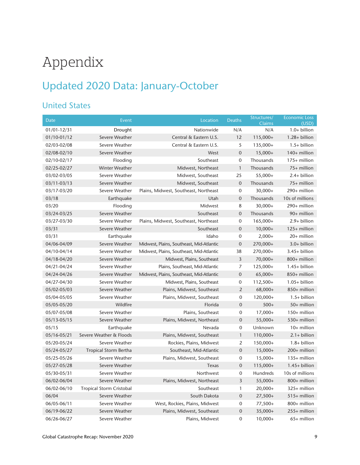## Appendix

## Updated 2020 Data: January-October

#### United States

| <b>Date</b>     | Event                           | Location                                 | <b>Deaths</b>    | Structures/<br>Claims | <b>Economic Loss</b><br>(USD) |
|-----------------|---------------------------------|------------------------------------------|------------------|-----------------------|-------------------------------|
| 01/01-12/31     | Drought                         | Nationwide                               | N/A              | N/A                   | $1.0+$ billion                |
| 01/10-01/12     | Severe Weather                  | Central & Eastern U.S.                   | 12               | 115,000+              | $1.28 + billion$              |
| 02/03-02/08     | Severe Weather                  | Central & Eastern U.S.                   | 5                | 135,000+              | $1.5+$ billion                |
| 02/08-02/10     | Severe Weather                  | West                                     | $\mathbf 0$      | $15,000+$             | 140+ million                  |
| 02/10-02/17     | Flooding                        | Southeast                                | 0                | Thousands             | 175+ million                  |
| 02/25-02/27     | Winter Weather                  | Midwest, Northeast                       | $\mathbf{1}$     | Thousands             | 75+ million                   |
| 03/02-03/05     | Severe Weather                  | Midwest, Southeast                       | 25               | 55,000+               | $2.4+$ billion                |
| 03/11-03/13     | Severe Weather                  | Midwest, Southeast                       | $\mathbf 0$      | Thousands             | 75+ million                   |
| 03/17-03/20     | Severe Weather                  | Plains, Midwest, Southeast, Northeast    | 0                | $30,000+$             | 290+ million                  |
| 03/18           | Earthquake                      | Utah                                     | $\mathbf 0$      | Thousands             | 10s of millions               |
| 03/20           | Flooding                        | Midwest                                  | 8                | $30,000+$             | 290+ million                  |
| 03/24-03/25     | Severe Weather                  | Southeast                                | $\mathbf 0$      | Thousands             | 90+ million                   |
| 03/27-03/30     | Severe Weather                  | Plains, Midwest, Southeast, Northeast    | 0                | $165,000+$            | 2.9+ billion                  |
| 03/31           | Severe Weather                  | Southeast                                | $\mathbf 0$      | $10,000+$             | 125+ million                  |
| 03/31           | Earthquake                      | Idaho                                    | 0                | $2,000+$              | 20+ million                   |
| 04/06-04/09     | Severe Weather                  | Midwest, Plains, Southeast, Mid-Atlantic | $\mathbf 0$      | 270,000+              | 3.0+ billion                  |
| 04/10-04/14     | Severe Weather                  | Midwest, Plains, Southeast, Mid-Atlantic | 38               | 270,000+              | $3.45+$ billion               |
| 04/18-04/20     | Severe Weather                  | Midwest, Plains, Southeast               | 3                | $70,000+$             | 800+ million                  |
| 04/21-04/24     | Severe Weather                  | Plains, Southeast, Mid-Atlantic          | 7                | 125,000+              | $1.45+$ billion               |
| 04/24-04/26     | Severe Weather                  | Midwest, Plains, Southeast, Mid-Atlantic | $\mathbf 0$      | $65,000+$             | 850+ million                  |
| 04/27-04/30     | Severe Weather                  | Midwest, Plains, Southeast               | 0                | $112,500+$            | 1.05+ billion                 |
| 05/02-05/03     | Severe Weather                  | Plains, Midwest, Southeast               | $\overline{2}$   | 68,000+               | 850+ million                  |
| 05/04-05/05     | Severe Weather                  | Plains, Midwest, Southeast               | 0                | 120,000+              | $1.5+$ billion                |
| 05/05-05/20     | Wildfire                        | Florida                                  | $\mathbf 0$      | $500+$                | 50+ million                   |
| 05/07-05/08     | Severe Weather                  | Plains, Southeast                        | $\mathbf 0$      | $17,000+$             | 150+ million                  |
| $05/13 - 05/15$ | Severe Weather                  | Plains, Midwest, Northeast               | $\boldsymbol{0}$ | $55,000+$             | 530+ million                  |
| 05/15           | Earthquake                      | Nevada                                   | 0                | Unknown               | 10+ million                   |
| 05/16-05/21     | Severe Weather & Floods         | Plains, Midwest, Southeast               | $\mathbf{1}$     | 110,000+              | $2.1 + billion$               |
| 05/20-05/24     | Severe Weather                  | Rockies, Plains, Midwest                 | 2                | 150,000+              | $1.8 + billion$               |
| 05/24-05/27     | <b>Tropical Storm Bertha</b>    | Southeast, Mid-Atlantic                  | $\mathbf 0$      | $15,000+$             | 200+ million                  |
| 05/25-05/26     | Severe Weather                  | Plains, Midwest, Southeast               | 0                | $15,000+$             | $135+$ million                |
| 05/27-05/28     | Severe Weather                  | Texas                                    | $\boldsymbol{0}$ | 115,000+              | 1.45+ billion                 |
| 05/30-05/31     | Severe Weather                  | Northwest                                | 0                | Hundreds              | 10s of millions               |
| 06/02-06/04     | Severe Weather                  | Plains, Midwest, Northeast               | 3                | $55,000+$             | 800+ million                  |
| 06/02-06/10     | <b>Tropical Storm Cristobal</b> | Southeast                                | $\mathbf{1}$     | $20,000+$             | 325+ million                  |
| 06/04           | Severe Weather                  | South Dakota                             | $\mathbf 0$      | $27,500+$             | $515+$ million                |
| 06/05-06/11     | Severe Weather                  | West, Rockies, Plains, Midwest           | 0                | $77,500+$             | 800+ million                  |
| 06/19-06/22     | Severe Weather                  | Plains, Midwest, Southeast               | $\mathbf 0$      | $35,000+$             | 255+ million                  |
| 06/26-06/27     | Severe Weather                  | Plains, Midwest                          | $\mathbf 0$      | $10,000+$             | 65+ million                   |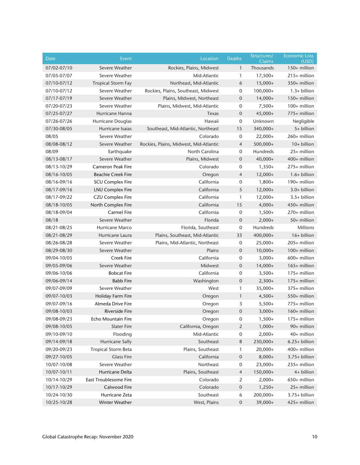| <b>Date</b> | Event                      | Location                               | Deaths           | Structures/<br>Claims | <b>Economic Loss</b><br>(USD) |
|-------------|----------------------------|----------------------------------------|------------------|-----------------------|-------------------------------|
| 07/02-07/10 | Severe Weather             | Rockies, Plains, Midwest               | $\mathbf{1}$     | Thousands             | 150+ million                  |
| 07/05-07/07 | Severe Weather             | Mid-Atlantic                           | 1                | $17,500+$             | 215+ million                  |
| 07/10-07/12 | <b>Tropical Storm Fay</b>  | Northeast, Mid-Atlantic                | 6                | $15,000+$             | 350+ million                  |
| 07/10-07/12 | Severe Weather             | Rockies, Plains, Southeast, Midwest    | 0                | $100,000+$            | $1.3+$ billion                |
| 07/17-07/19 | Severe Weather             | Plains, Midwest, Northeast             | $\boldsymbol{0}$ | $14,000+$             | 150+ million                  |
| 07/20-07/23 | Severe Weather             | Plains, Midwest, Mid-Atlantic          | 0                | $7,500+$              | 100+ million                  |
| 07/25-07/27 | Hurricane Hanna            | Texas                                  | 0                | $45,000+$             | 775+ million                  |
| 07/26-07/26 | Hurricane Douglas          | Hawaii                                 | 0                | Unknown               | Negligible                    |
| 07/30-08/05 | Hurricane Isaias           | Southeast, Mid-Atlantic, Northeast     | 15               | 340,000+              | 5+ billion                    |
| 08/05       | Severe Weather             | Colorado                               | 0                | $22,000+$             | 260+ million                  |
| 08/08-08/12 | Severe Weather             | Rockies, Plains, Midwest, Mid-Atlantic | 4                | 500,000+              | 10+ billion                   |
| 08/09       | Earthquake                 | North Carolina                         | 0                | Hundreds              | 25+ million                   |
| 08/13-08/17 | Severe Weather             | Plains, Midwest                        | 0                | $40,000+$             | 400+ million                  |
| 08/13-10/29 | <b>Cameron Peak Fire</b>   | Colorado                               | 0                | $1,350+$              | 275+ million                  |
| 08/16-10/05 | <b>Beachie Creek Fire</b>  | Oregon                                 | $\overline{4}$   | $12,000+$             | $1.6+$ billion                |
| 08/16-09/16 | <b>SCU Complex Fire</b>    | California                             | 0                | $1,800+$              | 190+ million                  |
| 08/17-09/16 | <b>LNU Complex Fire</b>    | California                             | 5                | $12,000+$             | $3.0+$ billion                |
| 08/17-09/22 | <b>CZU Complex Fire</b>    | California                             | 1                | $12,000+$             | $3.5+$ billion                |
| 08/18-10/05 | North Complex Fire         | California                             | 15               | $4,000+$              | 450+ million                  |
| 08/18-09/04 | <b>Carmel Fire</b>         | California                             | 0                | $1,500+$              | 270+ million                  |
| 08/18       | Severe Weather             | Florida                                | $\mathbf 0$      | $2,000+$              | 50+ million                   |
| 08/21-08/25 | Hurricane Marco            | Florida, Southeast                     | 0                | Hundreds              | Millions                      |
| 08/21-08/29 | Hurricane Laura            | Plains, Southeast, Mid-Atlantic        | 33               | 400,000+              | 16+ billion                   |
| 08/26-08/28 | Severe Weather             | Plains, Mid-Atlantic, Northeast        | $\boldsymbol{0}$ | $25,000+$             | 205+ million                  |
| 08/29-08/30 | Severe Weather             | Plains                                 | $\overline{0}$   | $10,000+$             | 100+ million                  |
| 09/04-10/05 | <b>Creek Fire</b>          | California                             | 0                | $3,000+$              | 600+ million                  |
| 09/05-09/06 | Severe Weather             | Midwest                                | $\boldsymbol{0}$ | $14,000+$             | 165+ million                  |
| 09/06-10/06 | <b>Bobcat Fire</b>         | California                             | 0                | $3,500+$              | 175+ million                  |
| 09/06-09/14 | <b>Babb Fire</b>           | Washington                             | $\boldsymbol{0}$ | $2,300+$              | $175+$ million                |
| 09/07-09/09 | Severe Weather             | West                                   | 1                | 35,000+               | 375+ million                  |
| 09/07-10/03 | Holiday Farm Fire          | Oregon                                 | 1                | $4,500+$              | 550+ million                  |
| 09/07-09/16 | Almeda Drive Fire          | Oregon                                 | 3                | $5,500+$              | 775+ million                  |
| 09/08-10/03 | <b>Riverside Fire</b>      | Oregon                                 | 0                | $3,000+$              | 160+ million                  |
| 09/08-09/23 | Echo Mountain Fire         | Oregon                                 | $\boldsymbol{0}$ | $1,500+$              | 175+ million                  |
| 09/08-10/05 | <b>Slater Fire</b>         | California, Oregon                     | 2                | $1,000+$              | 90+ million                   |
| 09/10-09/10 | Flooding                   | Mid-Atlantic                           | 0                | $2,000+$              | 40+ million                   |
| 09/14-09/18 | <b>Hurricane Sally</b>     | Southeast                              | 8                | 230,000+              | $6.25 + billion$              |
| 09/20-09/23 | <b>Tropical Storm Beta</b> | Plains, Southeast                      | 1                | 20,000+               | 400+ million                  |
| 09/27-10/05 | <b>Glass Fire</b>          | California                             | 0                | $8,000+$              | $3.75 + billion$              |
| 10/07-10/08 | Severe Weather             | Northeast                              | 0                | 23,000+               | 235+ million                  |
| 10/07-10/11 | Hurricane Delta            | Plains, Southeast                      | 4                | 150,000+              | 4+ billion                    |
| 10/14-10/29 | East Troublesome Fire      | Colorado                               | 2                | $2,000+$              | 650+ million                  |
| 10/17-10/29 | Calwood Fire               | Colorado                               | $\mathbf 0$      | $1,250+$              | 25+ million                   |
| 10/24-10/30 | Hurricane Zeta             | Southeast                              | 6                | 200,000+              | 3.75+ billion                 |
| 10/25-10/28 | Winter Weather             | West, Plains                           | 0                | 39,000+               | 425+ million                  |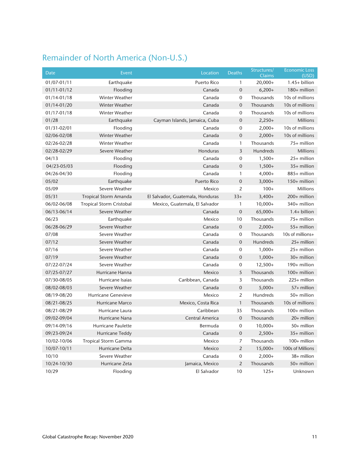#### Remainder of North America (Non-U.S.)

| <b>Date</b> | Event                           | Location                         | <b>Deaths</b>    | Structures/<br>Claims | <b>Economic Loss</b><br>(USD) |
|-------------|---------------------------------|----------------------------------|------------------|-----------------------|-------------------------------|
| 01/07-01/11 | Earthquake                      | Puerto Rico                      | 1                | $20,000+$             | $1.45+$ billion               |
| 01/11-01/12 | Flooding                        | Canada                           | $\mathbf 0$      | $6,200+$              | 180+ million                  |
| 01/14-01/18 | Winter Weather                  | Canada                           | 0                | Thousands             | 10s of millions               |
| 01/14-01/20 | <b>Winter Weather</b>           | Canada                           | $\overline{0}$   | Thousands             | 10s of millions               |
| 01/17-01/18 | Winter Weather                  | Canada                           | 0                | Thousands             | 10s of millions               |
| 01/28       | Earthquake                      | Cayman Islands, Jamaica, Cuba    | $\boldsymbol{0}$ | $2,250+$              | <b>Millions</b>               |
| 01/31-02/01 | Flooding                        | Canada                           | 0                | $2,000+$              | 10s of millions               |
| 02/06-02/08 | <b>Winter Weather</b>           | Canada                           | $\mathbf 0$      | $2,000+$              | 10s of millions               |
| 02/26-02/28 | <b>Winter Weather</b>           | Canada                           | $\mathbf{1}$     | Thousands             | 75+ million                   |
| 02/28-02/29 | Severe Weather                  | Honduras                         | 3                | Hundreds              | <b>Millions</b>               |
| 04/13       | Flooding                        | Canada                           | 0                | $1,500+$              | 25+ million                   |
| 04/23-05/03 | Flooding                        | Canada                           | $\mathbf 0$      | $1,500+$              | 35+ million                   |
| 04/26-04/30 | Flooding                        | Canada                           | 1                | $4,000+$              | 885+ million                  |
| 05/02       | Earthquake                      | <b>Puerto Rico</b>               | $\mathbf 0$      | $3,000+$              | 150+ million                  |
| 05/09       | Severe Weather                  | Mexico                           | 2                | $100+$                | <b>Millions</b>               |
| 05/31       | <b>Tropical Storm Amanda</b>    | El Salvador, Guatemala, Honduras | $33+$            | $3,400+$              | 200+ million                  |
| 06/02-06/08 | <b>Tropical Storm Cristobal</b> | Mexico, Guatemala, El Salvador   | 1                | $10,000+$             | 340+ million                  |
| 06/13-06/14 | Severe Weather                  | Canada                           | $\mathbf 0$      | $65,000+$             | $1.4+$ billion                |
| 06/23       | Earthquake                      | Mexico                           | 10               | Thousands             | 75+ million                   |
| 06/28-06/29 | Severe Weather                  | Canada                           | $\mathbf 0$      | $2,000+$              | 55+ million                   |
| 07/08       | Severe Weather                  | Canada                           | $\mathbf 0$      | Thousands             | 10s of millions+              |
| 07/12       | Severe Weather                  | Canada                           | $\mathbf 0$      | Hundreds              | 25+ million                   |
| 07/16       | Severe Weather                  | Canada                           | 0                | $1,000+$              | 25+ million                   |
| 07/19       | Severe Weather                  | Canada                           | $\overline{0}$   | $1,000+$              | 30+ million                   |
| 07/22-07/24 | Severe Weather                  | Canada                           | 0                | $12,500+$             | 190+ million                  |
| 07/25-07/27 | Hurricane Hanna                 | Mexico                           | 5                | Thousands             | 100+ million                  |
| 07/30-08/05 | Hurricane Isaias                | Caribbean, Canada                | 3                | Thousands             | 225+ million                  |
| 08/02-08/03 | Severe Weather                  | Canada                           | $\mathbf 0$      | $5,000+$              | 57+ million                   |
| 08/19-08/20 | <b>Hurricane Genevieve</b>      | Mexico                           | $\overline{2}$   | <b>Hundreds</b>       | 50+ million                   |
| 08/21-08/25 | Hurricane Marco                 | Mexico, Costa Rica               | $\mathbf{1}$     | Thousands             | 10s of millions               |
| 08/21-08/29 | Hurricane Laura                 | Caribbean                        | 35               | Thousands             | 100+ million                  |
| 09/02-09/04 | Hurricane Nana                  | Central America                  | $\mathbf 0$      | Thousands             | 20+ million                   |
| 09/14-09/16 | Hurricane Paulette              | Bermuda                          | $\mathbf 0$      | $10,000+$             | 50+ million                   |
| 09/23-09/24 | Hurricane Teddy                 | Canada                           | $\overline{0}$   | $2,500+$              | 35+ million                   |
| 10/02-10/06 | <b>Tropical Storm Gamma</b>     | Mexico                           | 7                | Thousands             | 100+ million                  |
| 10/07-10/11 | Hurricane Delta                 | Mexico                           | $\overline{2}$   | $15,000+$             | 100s of Millions              |
| 10/10       | Severe Weather                  | Canada                           | $\mathbf 0$      | $2,000+$              | 38+ million                   |
| 10/24-10/30 | Hurricane Zeta                  | Jamaica, Mexico                  | $\overline{2}$   | Thousands             | 50+ million                   |
| 10/29       | Flooding                        | El Salvador                      | 10               | $125+$                | Unknown                       |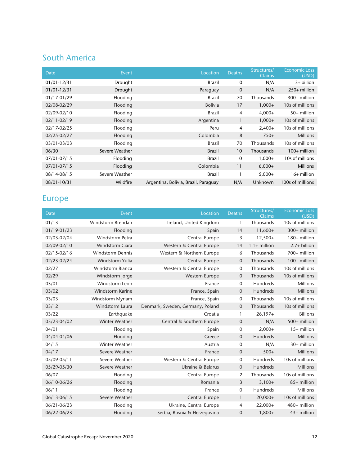#### South America

| <b>Date</b>     | Event          | Location                             | <b>Deaths</b>  | Structures/<br><b>Claims</b> | <b>Economic Loss</b><br>(USD) |
|-----------------|----------------|--------------------------------------|----------------|------------------------------|-------------------------------|
| 01/01-12/31     | Drought        | <b>Brazil</b>                        | $\mathbf 0$    | N/A                          | 3+ billion                    |
| $01/01 - 12/31$ | Drought        | Paraguay                             | $\mathbf 0$    | N/A                          | $250+$ million                |
| 01/17-01/29     | Flooding       | <b>Brazil</b>                        | 70             | Thousands                    | 300+ million                  |
| 02/08-02/29     | Flooding       | <b>Bolivia</b>                       | 17             | $1,000+$                     | 10s of millions               |
| 02/09-02/10     | Flooding       | <b>Brazil</b>                        | $\overline{4}$ | $4,000+$                     | 50+ million                   |
| 02/11-02/19     | Flooding       | Argentina                            |                | $1,000+$                     | 10s of millions               |
| 02/17-02/25     | Flooding       | Peru                                 | $\overline{4}$ | $2,400+$                     | 10s of millions               |
| 02/25-02/27     | Flooding       | Colombia                             | 8              | $750+$                       | <b>Millions</b>               |
| 03/01-03/03     | Flooding       | <b>Brazil</b>                        | 70             | Thousands                    | 10s of millions               |
| 06/30           | Severe Weather | <b>Brazil</b>                        | 10             | Thousands                    | $100+$ million                |
| 07/01-07/15     | Flooding       | <b>Brazil</b>                        | $\mathbf 0$    | $1,000+$                     | 10s of millions               |
| 07/01-07/15     | Flooding       | Colombia                             | 11             | $6,000+$                     | <b>Millions</b>               |
| 08/14-08/15     | Severe Weather | Brazil                               |                | $5,000+$                     | $16+$ million                 |
| 08/01-10/31     | Wildfire       | Argentina, Bolivia, Brazil, Paraguay | N/A            | Unknown                      | 100s of millions              |

#### Europe

| <b>Date</b>     | Event                   | Location                         | <b>Deaths</b>  | Structures/<br>Claims | <b>Economic Loss</b><br>(USD) |
|-----------------|-------------------------|----------------------------------|----------------|-----------------------|-------------------------------|
| 01/13           | Windstorm Brendan       | Ireland, United Kingdom          | 1              | Thousands             | 10s of millions               |
| 01/19-01/23     | Flooding                | Spain                            | 14             | $11,600+$             | 300+ million                  |
| 02/03-02/04     | <b>Windstorm Petra</b>  | Central Europe                   | 3              | $12,500+$             | 180+ million                  |
| 02/09-02/10     | Windstorm Ciara         | Western & Central Europe         | 14             | $1.1+$ million        | 2.7+ billion                  |
| 02/15-02/16     | <b>Windstorm Dennis</b> | Western & Northern Europe        | 6              | Thousands             | 700+ million                  |
| 02/23-02/24     | Windstorm Yulia         | <b>Central Europe</b>            | 0              | Thousands             | $100+$ million                |
| 02/27           | Windstorm Bianca        | Western & Central Europe         | 0              | Thousands             | 10s of millions               |
| 02/29           | Windstorm Jorge         | Western Europe                   | $\mathbf 0$    | Thousands             | 10s of millions               |
| 03/01           | Windstorm Leon          | France                           | 0              | Hundreds              | <b>Millions</b>               |
| 03/02           | Windstorm Karine        | France, Spain                    | $\mathbf 0$    | Hundreds              | <b>Millions</b>               |
| 03/03           | Windstorm Myriam        | France, Spain                    | 0              | Thousands             | 10s of millions               |
| 03/12           | Windstorm Laura         | Denmark, Sweden, Germany, Poland | 0              | Thousands             | 10s of millions               |
| 03/22           | Earthquake              | Croatia                          | 1              | $26,197+$             | <b>Billions</b>               |
| 03/23-04/02     | <b>Winter Weather</b>   | Central & Southern Europe        | $\mathbf 0$    | N/A                   | 500+ million                  |
| 04/01           | Flooding                | Spain                            | 0              | $2,000+$              | 15+ million                   |
| 04/04-04/06     | Flooding                | Greece                           | $\mathbf 0$    | <b>Hundreds</b>       | <b>Millions</b>               |
| 04/15           | <b>Winter Weather</b>   | Austria                          | 0              | N/A                   | 30+ million                   |
| 04/17           | Severe Weather          | France                           | 0              | $500+$                | <b>Millions</b>               |
| 05/09-05/11     | Severe Weather          | Western & Central Europe         | 0              | <b>Hundreds</b>       | 10s of millions               |
| 05/29-05/30     | Severe Weather          | Ukraine & Belarus                | 0              | Hundreds              | <b>Millions</b>               |
| 06/07           | Flooding                | Central Europe                   | $\overline{2}$ | Thousands             | 10s of millions               |
| 06/10-06/26     | Flooding                | Romania                          | 3              | $3,100+$              | 85+ million                   |
| 06/11           | Flooding                | France                           | 0              | Hundreds              | <b>Millions</b>               |
| $06/13 - 06/15$ | Severe Weather          | Central Europe                   | 1              | $20,000+$             | 10s of millions               |
| 06/21-06/23     | Flooding                | Ukraine, Central Europe          | 4              | $22,000+$             | 480+ million                  |
| 06/22-06/23     | Flooding                | Serbia, Bosnia & Herzegovina     | 0              | $1,800+$              | 43+ million                   |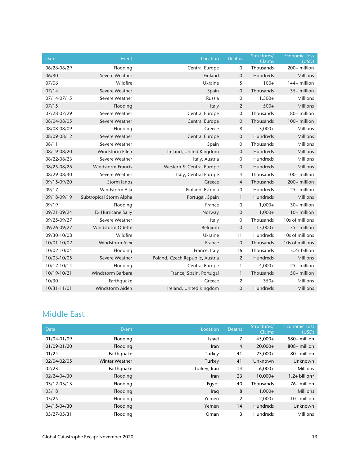| Date        | Event                     | Location                        | <b>Deaths</b>  | Structures/<br><b>Claims</b> | <b>Economic Loss</b><br>(USD) |
|-------------|---------------------------|---------------------------------|----------------|------------------------------|-------------------------------|
| 06/26-06/29 | Flooding                  | Central Europe                  | 0              | Thousands                    | 200+ million                  |
| 06/30       | Severe Weather            | Finland                         | $\mathbf 0$    | Hundreds                     | <b>Millions</b>               |
| 07/06       | Wildfire                  | Ukraine                         | 5              | $100+$                       | 144+ million                  |
| 07/14       | Severe Weather            | Spain                           | $\mathbf 0$    | Thousands                    | 35+ million                   |
| 07/14-07/15 | Severe Weather            | Russia                          | $\mathbf 0$    | $1,500+$                     | <b>Millions</b>               |
| 07/15       | Flooding                  | Italy                           | $\overline{2}$ | $500+$                       | <b>Millions</b>               |
| 07/28-07/29 | Severe Weather            | Central Europe                  | $\mathbf 0$    | Thousands                    | 80+ million                   |
| 08/04-08/05 | Severe Weather            | Central Europe                  | $\mathbf{0}$   | Thousands                    | 100+ million                  |
| 08/08-08/09 | Flooding                  | Greece                          | 8              | $3,000+$                     | <b>Millions</b>               |
| 08/09-08/12 | Severe Weather            | Central Europe                  | $\mathbf 0$    | Hundreds                     | Millions                      |
| 08/11       | Severe Weather            | Spain                           | $\mathbf 0$    | Thousands                    | <b>Millions</b>               |
| 08/19-08/20 | Windstorm Ellen           | Ireland, United Kingdom         | $\mathbf 0$    | Hundreds                     | <b>Millions</b>               |
| 08/22-08/23 | Severe Weather            | Italy, Austria                  | $\mathbf 0$    | Hundreds                     | <b>Millions</b>               |
| 08/25-08/26 | <b>Windstorm Francis</b>  | Western & Central Europe        | $\mathbf 0$    | Hundreds                     | Millions                      |
| 08/29-08/30 | Severe Weather            | Italy, Central Europe           | $\overline{4}$ | Thousands                    | 100+ million                  |
| 09/15-09/20 | Storm lanos               | Greece                          | $\overline{4}$ | Thousands                    | 200+ million                  |
| 09/17       | Windstorm Aila            | Finland, Estonia                | $\mathbf 0$    | Hundreds                     | 25+ million                   |
| 09/18-09/19 | Subtropical Storm Alpha   | Portugal, Spain                 | $\mathbf{1}$   | Hundreds                     | Millions                      |
| 09/19       | Flooding                  | France                          | $\mathbf 0$    | $1,000+$                     | 30+ million                   |
| 09/21-09/24 | <b>Ex-Hurricane Sally</b> | Norway                          | $\mathbf 0$    | $1,000+$                     | 10+ million                   |
| 09/25-09/27 | Severe Weather            | Italy                           | $\mathbf 0$    | Thousands                    | 10s of millions               |
| 09/26-09/27 | Windstorm Odette          | Belgium                         | $\mathbf 0$    | $13,000+$                    | 35+ million                   |
| 09/30-10/08 | Wildfire                  | Ukraine                         | 11             | Hundreds                     | 10s of millions               |
| 10/01-10/02 | <b>Windstorm Alex</b>     | France                          | $\overline{0}$ | Thousands                    | 10s of millions               |
| 10/02-10/04 | Flooding                  | France, Italy                   | 16             | Thousands                    | $3.2 + billion$               |
| 10/03-10/05 | Severe Weather            | Poland, Czech Republic, Austria | 2              | Hundreds                     | Millions                      |
| 10/12-10/14 | Flooding                  | Central Europe                  | $\mathbf{1}$   | $4,000+$                     | 25+ million                   |
| 10/19-10/21 | Windstorm Barbara         | France, Spain, Portugal         | $\mathbf{1}$   | Thousands                    | 50+ million                   |
| 10/30       | Earthquake                | Greece                          | $\overline{2}$ | $350+$                       | <b>Millions</b>               |
| 10/31-11/01 | Windstorm Aiden           | Ireland, United Kingdom         | $\mathbf 0$    | Hundreds                     | <b>Millions</b>               |

#### Middle East

| Date        | Event                 | Location      | <b>Deaths</b>  | Structures/<br><b>Claims</b> | <b>Economic Loss</b><br>(USD) |
|-------------|-----------------------|---------------|----------------|------------------------------|-------------------------------|
| 01/04-01/09 | Flooding              | <b>Israel</b> | 7              | $45,000+$                    | $580+$ million                |
| 01/09-01/20 | Flooding              | <b>Iran</b>   | $\overline{4}$ | $20,000+$                    | $808+$ million                |
| 01/24       | Earthquake            | Turkey        | 41             | $23,000+$                    | $80+$ million                 |
| 02/04-02/05 | <b>Winter Weather</b> | Turkey        | 41             | Unknown                      | Unknown                       |
| 02/23       | Earthquake            | Turkey, Iran  | 14             | $6.000 +$                    | <b>Millions</b>               |
| 02/24-04/30 | Flooding              | Iran          | 23             | $10,000+$                    | $1.2+$ billion*               |
| 03/12-03/13 | Flooding              | Egypt         | 40             | Thousands                    | $76+$ million                 |
| 03/18       | Flooding              | Iraq          | 8              | $1,000+$                     | <b>Millions</b>               |
| 03/25       | Flooding              | Yemen         | 2              | $2,000+$                     | $10+$ million                 |
| 04/15-04/30 | Flooding              | Yemen         | 14             | <b>Hundreds</b>              | Unknown                       |
| 05/27-05/31 | Flooding              | Oman          | 3              | <b>Hundreds</b>              | <b>Millions</b>               |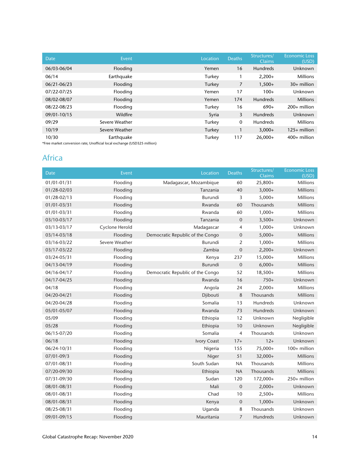| Date        | Event          | Location | <b>Deaths</b> | Structures/<br><b>Claims</b> | <b>Economic Loss</b><br>(USD) |
|-------------|----------------|----------|---------------|------------------------------|-------------------------------|
| 06/03-06/04 | Flooding       | Yemen    | 16            | <b>Hundreds</b>              | Unknown                       |
| 06/14       | Earthquake     | Turkey   |               | $2,200+$                     | <b>Millions</b>               |
| 06/21-06/23 | Flooding       | Turkey   | 7             | $1,500+$                     | $30+$ million                 |
| 07/22-07/25 | Flooding       | Yemen    | 17            | $100+$                       | Unknown                       |
| 08/02-08/07 | Flooding       | Yemen    | 174           | <b>Hundreds</b>              | <b>Millions</b>               |
| 08/22-08/23 | Flooding       | Turkey   | 16            | $690+$                       | $200+$ million                |
| 09/01-10/15 | Wildfire       | Syria    | 3             | <b>Hundreds</b>              | Unknown                       |
| 09/29       | Severe Weather | Turkey   | 0             | <b>Hundreds</b>              | <b>Millions</b>               |
| 10/19       | Severe Weather | Turkey   |               | $3,000+$                     | $125+$ million                |
| 10/30       | Earthquake     | Turkey   | 117           | $26,000+$                    | $400+$ million                |

\*Free market conversion rate; Unofficial local exchange (USD325 million)

#### Africa

| Date            | Event          | Location                         | <b>Deaths</b>  | Structures/<br><b>Claims</b> | <b>Economic Loss</b><br>(USD) |
|-----------------|----------------|----------------------------------|----------------|------------------------------|-------------------------------|
| 01/01-01/31     | Flooding       | Madagascar, Mozambique           | 60             | $25,800+$                    | Millions                      |
| 01/28-02/03     | Flooding       | Tanzania                         | 40             | $3,000+$                     | Millions                      |
| $01/28 - 02/13$ | Flooding       | Burundi                          | 3              | $5,000+$                     | <b>Millions</b>               |
| $01/01 - 03/31$ | Flooding       | Rwanda                           | 60             | Thousands                    | <b>Millions</b>               |
| 01/01-03/31     | Flooding       | Rwanda                           | 60             | $1,000+$                     | <b>Millions</b>               |
| 03/10-03/17     | Flooding       | Tanzania                         | $\mathbf{0}$   | $3,500+$                     | Unknown                       |
| 03/13-03/17     | Cyclone Herold | Madagascar                       | 4              | $1,000+$                     | Unknown                       |
| 03/14-03/18     | Flooding       | Democratic Republic of the Congo | $\mathbf 0$    | $5,000+$                     | Millions                      |
| 03/16-03/22     | Severe Weather | Burundi                          | 2              | $1,000+$                     | <b>Millions</b>               |
| 03/17-03/22     | Flooding       | Zambia                           | $\mathbf 0$    | $2,200+$                     | Unknown                       |
| 03/24-05/31     | Flooding       | Kenya                            | 237            | $15,000+$                    | <b>Millions</b>               |
| 04/13-04/19     | Flooding       | Burundi                          | $\mathbf{0}$   | $6,000+$                     | <b>Millions</b>               |
| 04/16-04/17     | Flooding       | Democratic Republic of the Congo | 52             | $18,500+$                    | <b>Millions</b>               |
| 04/17-04/25     | Flooding       | Rwanda                           | 16             | $750+$                       | Unknown                       |
| 04/18           | Flooding       | Angola                           | 24             | $2,000+$                     | <b>Millions</b>               |
| 04/20-04/21     | Flooding       | Djibouti                         | 8              | Thousands                    | <b>Millions</b>               |
| 04/20-04/28     | Flooding       | Somalia                          | 13             | Hundreds                     | Unknown                       |
| 05/01-05/07     | Flooding       | Rwanda                           | 73             | Hundreds                     | Unknown                       |
| 05/09           | Flooding       | Ethiopia                         | 12             | Unknown                      | Negligible                    |
| 05/28           | Flooding       | Ethiopia                         | 10             | Unknown                      | Negligible                    |
| 06/15-07/20     | Flooding       | Somalia                          | $\overline{4}$ | Thousands                    | Unknown                       |
| 06/18           | Flooding       | <b>Ivory Coast</b>               | $17+$          | $12+$                        | Unknown                       |
| 06/24-10/31     | Flooding       | Nigeria                          | 155            | 75,000+                      | 100+ million                  |
| $07/01 - 09/3$  | Flooding       | Niger                            | 51             | 32,000+                      | <b>Millions</b>               |
| 07/01-08/31     | Flooding       | South Sudan                      | <b>NA</b>      | Thousands                    | Millions                      |
| 07/20-09/30     | Flooding       | Ethiopia                         | <b>NA</b>      | Thousands                    | <b>Millions</b>               |
| 07/31-09/30     | Flooding       | Sudan                            | 120            | 172,000+                     | 250+ million                  |
| 08/01-08/31     | Flooding       | Mali                             | $\mathbf 0$    | $2,000+$                     | Unknown                       |
| 08/01-08/31     | Flooding       | Chad                             | 10             | $2,500+$                     | <b>Millions</b>               |
| 08/01-08/31     | Flooding       | Kenya                            | $\mathbf 0$    | $1,000+$                     | Unknown                       |
| 08/25-08/31     | Flooding       | Uganda                           | 8              | Thousands                    | Unknown                       |
| 09/01-09/15     | Flooding       | Mauritania                       | $\overline{7}$ | Hundreds                     | Unknown                       |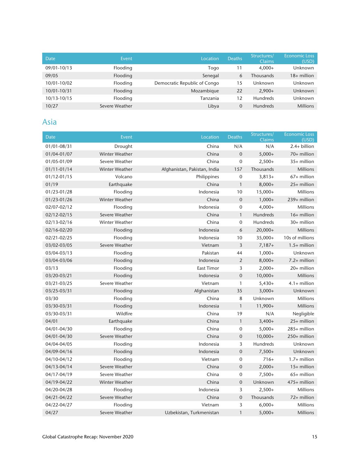| Date        | Event          | Location                     | <b>Deaths</b> | Structures/<br><b>Claims</b> | <b>Economic Loss</b><br>(USD) |
|-------------|----------------|------------------------------|---------------|------------------------------|-------------------------------|
| 09/01-10/13 | Flooding       | Togo                         | 11            | $4.000+$                     | Unknown                       |
| 09/05       | Flooding       | Senegal                      | 6             | <b>Thousands</b>             | $18+$ million                 |
| 10/01-10/02 | Flooding       | Democratic Republic of Congo | 15            | Unknown                      | Unknown                       |
| 10/01-10/31 | Flooding       | Mozambique                   | 22            | $2.900+$                     | Unknown                       |
| 10/13-10/15 | Flooding       | Tanzania                     | 12            | <b>Hundreds</b>              | Unknown                       |
| 10/27       | Severe Weather | Libya                        | $\mathbf{0}$  | <b>Hundreds</b>              | <b>Millions</b>               |

#### Asia

| Date            | Event                 | Location                     | <b>Deaths</b>    | Structures/<br>Claims | <b>Economic Loss</b><br>(USD) |
|-----------------|-----------------------|------------------------------|------------------|-----------------------|-------------------------------|
| 01/01-08/31     | Drought               | China                        | N/A              | N/A                   | 2.4+ billion                  |
| 01/04-01/07     | <b>Winter Weather</b> | China                        | $\overline{0}$   | $5,000+$              | 70+ million                   |
| 01/05-01/09     | Severe Weather        | China                        | 0                | $2,500+$              | 35+ million                   |
| $01/11 - 01/14$ | <b>Winter Weather</b> | Afghanistan, Pakistan, India | 157              | Thousands             | <b>Millions</b>               |
| 01/12-01/15     | Volcano               | Philippines                  | 0                | $3,813+$              | 67+ million                   |
| 01/19           | Earthquake            | China                        | $\mathbf{1}$     | $8,000+$              | 25+ million                   |
| 01/23-01/28     | Flooding              | Indonesia                    | 10               | $15,000+$             | <b>Millions</b>               |
| 01/23-01/26     | Winter Weather        | China                        | $\mathbf 0$      | $1,000+$              | 239+ million                  |
| 02/07-02/12     | Flooding              | Indonesia                    | 0                | $4,000+$              | <b>Millions</b>               |
| 02/12-02/15     | Severe Weather        | China                        | $\mathbf{1}$     | Hundreds              | 16+ million                   |
| 02/13-02/16     | <b>Winter Weather</b> | China                        | 0                | <b>Hundreds</b>       | 30+ million                   |
| 02/16-02/20     | Flooding              | Indonesia                    | 6                | $20,000+$             | <b>Millions</b>               |
| 02/21-02/25     | Flooding              | Indonesia                    | 10               | 35,000+               | 10s of millions               |
| 03/02-03/05     | Severe Weather        | Vietnam                      | 3                | $7,187+$              | $1.5+$ million                |
| 03/04-03/13     | Flooding              | Pakistan                     | 44               | $1,000+$              | Unknown                       |
| 03/04-03/06     | Flooding              | Indonesia                    | $\overline{2}$   | $8,000+$              | 7.2+ million                  |
| 03/13           | Flooding              | East Timor                   | 3                | $2,000+$              | 20+ million                   |
| 03/20-03/21     | Flooding              | Indonesia                    | $\mathbf 0$      | $10,000+$             | <b>Millions</b>               |
| 03/21-03/25     | Severe Weather        | Vietnam                      | 1                | $5,430+$              | $4.1+$ million                |
| 03/25-03/31     | Flooding              | Afghanistan                  | 35               | $3,000+$              | Unknown                       |
| 03/30           | Flooding              | China                        | 8                | Unknown               | Millions                      |
| 03/30-03/31     | Flooding              | Indonesia                    | $\mathbf{1}$     | $11,900+$             | <b>Millions</b>               |
| 03/30-03/31     | Wildfire              | China                        | 19               | N/A                   | Negligible                    |
| 04/01           | Earthquake            | China                        | $\mathbf{1}$     | $3,400+$              | 25+ million                   |
| 04/01-04/30     | Flooding              | China                        | 0                | $5,000+$              | 285+ million                  |
| 04/01-04/30     | Severe Weather        | China                        | $\mathbf 0$      | $10,000+$             | 250+ million                  |
| 04/04-04/05     | Flooding              | Indonesia                    | 3                | <b>Hundreds</b>       | Unknown                       |
| 04/09-04/16     | Flooding              | Indonesia                    | $\mathbf 0$      | $7,500+$              | Unknown                       |
| 04/10-04/12     | Flooding              | Vietnam                      | 0                | $716+$                | $1.7+$ million                |
| 04/13-04/14     | Severe Weather        | China                        | $\boldsymbol{0}$ | $2,000+$              | 15+ million                   |
| 04/17-04/19     | Severe Weather        | China                        | 0                | $7,500+$              | 65+ million                   |
| 04/19-04/22     | <b>Winter Weather</b> | China                        | $\mathbf 0$      | Unknown               | 475+ million                  |
| 04/20-04/28     | Flooding              | Indonesia                    | 3                | $2,500+$              | <b>Millions</b>               |
| 04/21-04/22     | Severe Weather        | China                        | $\mathbf 0$      | Thousands             | 72+ million                   |
| 04/22-04/27     | Flooding              | Vietnam                      | 3                | $6,000+$              | <b>Millions</b>               |
| 04/27           | Severe Weather        | Uzbekistan, Turkmenistan     | $\mathbf{1}$     | $5,000+$              | <b>Millions</b>               |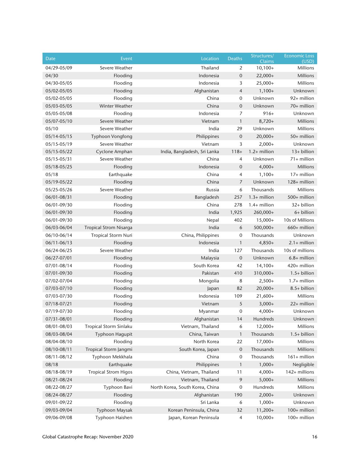| Date            | Event                         | Location                        | Deaths           | Structures/<br><b>Claims</b> | <b>Economic Loss</b><br>(USD) |
|-----------------|-------------------------------|---------------------------------|------------------|------------------------------|-------------------------------|
| 04/29-05/09     | Severe Weather                | Thailand                        | 2                | $10,100+$                    | Millions                      |
| 04/30           | Flooding                      | Indonesia                       | $\mathbf 0$      | $22,000+$                    | Millions                      |
| 04/30-05/05     | Flooding                      | Indonesia                       | 3                | $25,000+$                    | Millions                      |
| 05/02-05/05     | Flooding                      | Afghanistan                     | 4                | $1,100+$                     | Unknown                       |
| 05/02-05/05     | Flooding                      | China                           | $\mathbf 0$      | Unknown                      | 92+ million                   |
| 05/03-05/05     | Winter Weather                | China                           | $\mathbf 0$      | Unknown                      | 70+ million                   |
| 05/05-05/08     | Flooding                      | Indonesia                       | 7                | $916+$                       | Unknown                       |
| 05/07-05/10     | Severe Weather                | Vietnam                         | 1                | $8,720+$                     | <b>Millions</b>               |
| 05/10           | Severe Weather                | India                           | 29               | Unknown                      | Millions                      |
| 05/14-05/15     | Typhoon Vongfong              | Philippines                     | $\boldsymbol{0}$ | $20,000+$                    | 50+ million                   |
| 05/15-05/19     | Severe Weather                | Vietnam                         | 3                | $2,000+$                     | Unknown                       |
| 05/15-05/22     | Cyclone Amphan                | India, Bangladesh, Sri Lanka    | $118 +$          | 1.2+ million                 | 13+ billion                   |
| 05/15-05/31     | Severe Weather                | China                           | 4                | Unknown                      | 71+ million                   |
| 05/18-05/25     | Flooding                      | Indonesia                       | $\mathbf 0$      | $4,000+$                     | <b>Millions</b>               |
| 05/18           | Earthquake                    | China                           | 4                | $1,100+$                     | 17+ million                   |
| 05/19-05/22     | Flooding                      | China                           | 7                | Unknown                      | 128+ million                  |
| 05/25-05/26     | Severe Weather                | Russia                          | 6                | Thousands                    | Millions                      |
| 06/01-08/31     | Flooding                      | Bangladesh                      | 257              | $1.3+$ million               | 500+ million                  |
| 06/01-09/30     | Flooding                      | China                           | 278              | $1.4+$ million               | 32+ billion                   |
| 06/01-09/30     | Flooding                      | India                           | 1,925            | 260,000+                     | 6+ billion                    |
| 06/01-09/30     | Flooding                      | Nepal                           | 402              | $15,000+$                    | 10s of Millions               |
| 06/03-06/04     | <b>Tropical Strom Nisarga</b> | India                           | 6                | 500,000+                     | 660+ million                  |
| 06/10-06/14     | <b>Tropical Storm Nuri</b>    | China, Philippines              | 0                | Thousands                    | Unknown                       |
| $06/11 - 06/13$ | Flooding                      | Indonesia                       | 1                | $4,850+$                     | $2.1+$ million                |
| 06/24-06/25     | Severe Weather                | India                           | 127              | Thousands                    | 10s of millions               |
| 06/27-07/01     | Flooding                      | Malaysia                        | $\boldsymbol{0}$ | Unknown                      | $6.8+$ million                |
| 07/01-08/14     | Flooding                      | South Korea                     | 42               | $14,100+$                    | 420+ million                  |
| 07/01-09/30     | Flooding                      | Pakistan                        | 410              | 310,000+                     | $1.5+$ billion                |
| 07/02-07/04     | Flooding                      | Mongolia                        | 8                | $2,500+$                     | $1.7+$ million                |
| 07/03-07/10     | Flooding                      | Japan                           | 82               | $20,000+$                    | 8.5+ billion                  |
| 07/03-07/30     | Flooding                      | Indonesia                       | 109              | $21,600+$                    | Millions                      |
| 07/18-07/21     | Flooding                      | Vietnam                         | 5                | $3,000+$                     | 22+ million                   |
| 07/19-07/30     | Flooding                      | Myanmar                         | 0                | $4,000+$                     | Unknown                       |
| 07/31-08/01     | Flooding                      | Afghanistan                     | 14               | Hundreds                     | Unknown                       |
| 08/01-08/03     | Tropical Storm Sinlaku        | Vietnam, Thailand               | 6                | $12,000+$                    | Millions                      |
| 08/03-08/04     | Typhoon Hagupit               | China, Taiwan                   | 1                | Thousands                    | $1.5+$ billion                |
| 08/04-08/10     | Flooding                      | North Korea                     | 22               | $17,000+$                    | Millions                      |
| 08/10-08/11     | Tropical Storm Jangmi         | South Korea, Japan              | 0                | Thousands                    | Millions                      |
| 08/11-08/12     | Typhoon Mekkhala              | China                           | 0                | Thousands                    | 161+ million                  |
| 08/18           | Earthquake                    | Philippines                     | 1                | $1,000+$                     | Negligible                    |
| 08/18-08/19     | <b>Tropical Strom Higos</b>   | China, Vietnam, Thailand        | 11               | $4,000+$                     | 142+ millions                 |
| 08/21-08/24     | Flooding                      | Vietnam, Thailand               | 9                | $5,000+$                     | Millions                      |
| 08/22-08/27     | Typhoon Bavi                  | North Korea, South Korea, China | 0                | Hundreds                     | Millions                      |
| 08/24-08/27     | Flooding                      | Afghanistan                     | 190              | $2,000+$                     | Unknown                       |
| 09/01-09/22     | Flooding                      | Sri Lanka                       | 6                | $1,000+$                     | Unknown                       |
| 09/03-09/04     | Typhoon Maysak                | Korean Peninsula, China         | 32               | $11,200+$                    | 100+ million                  |
| 09/06-09/08     | Typhoon Haishen               | Japan, Korean Peninsula         | $\overline{4}$   | $10,000+$                    | 100+ million                  |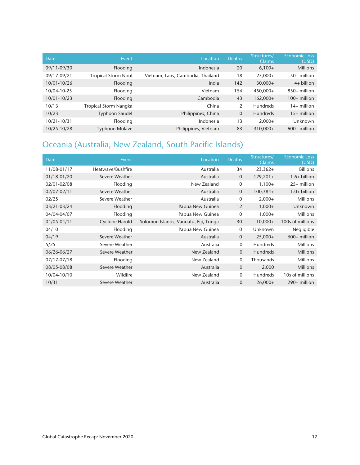| <b>Date</b> | Event                      | Location                          | <b>Deaths</b> | Structures/<br><b>Claims</b> | <b>Economic Loss</b><br>(USD) |
|-------------|----------------------------|-----------------------------------|---------------|------------------------------|-------------------------------|
| 09/11-09/30 | Flooding                   | Indonesia                         | 20            | $6,100+$                     | <b>Millions</b>               |
| 09/17-09/21 | <b>Tropical Storm Noul</b> | Vietnam, Laos, Cambodia, Thailand | 18            | $25,000+$                    | $50+$ million                 |
| 10/01-10/26 | Flooding                   | India                             | 142           | $30,000+$                    | $4+$ billion                  |
| 10/04-10-25 | Flooding                   | Vietnam                           | 154           | 450,000+                     | $850+$ million                |
| 10/01-10/23 | Flooding                   | Cambodia                          | 43            | 162,000+                     | $100+$ million                |
| 10/13       | Tropical Storm Nangka      | China                             | 2             | <b>Hundreds</b>              | $14+$ million                 |
| 10/23       | <b>Typhoon Saudel</b>      | Philippines, China                | $\mathbf{0}$  | <b>Hundreds</b>              | $15+$ million                 |
| 10/21-10/31 | Flooding                   | Indonesia                         | 13            | $2.000+$                     | Unknown                       |
| 10/25-10/28 | <b>Typhoon Molave</b>      | Philippines, Vietnam              | 83            | 310.000+                     | $600+$ million                |

#### Oceania (Australia, New Zealand, South Pacific Islands)

| <b>Date</b> | Event                 | Location                              | <b>Deaths</b>  | Structures/<br><b>Claims</b> | <b>Economic Loss</b><br>(USD) |
|-------------|-----------------------|---------------------------------------|----------------|------------------------------|-------------------------------|
| 11/08-01/17 | Heatwave/Bushfire     | Australia                             | 34             | $23,362+$                    | <b>Billions</b>               |
| 01/18-01/20 | Severe Weather        | Australia                             | $\mathbf{0}$   | $129,201+$                   | $1.6+$ billion                |
| 02/01-02/08 | Flooding              | New Zealand                           | 0              | $1,100+$                     | $25+$ million                 |
| 02/07-02/11 | Severe Weather        | Australia                             | $\overline{0}$ | $100,384+$                   | $1.0+$ billion                |
| 02/25       | Severe Weather        | Australia                             | $\mathbf 0$    | $2,000+$                     | <b>Millions</b>               |
| 03/21-03/24 | Flooding              | Papua New Guinea                      | 12             | $1,000+$                     | Unknown                       |
| 04/04-04/07 | Flooding              | Papua New Guinea                      | $\mathbf 0$    | $1,000+$                     | <b>Millions</b>               |
| 04/05-04/11 | <b>Cyclone Harold</b> | Solomon Islands, Vanuatu, Fiji, Tonga | 30             | $10,000+$                    | 100s of millions              |
| 04/10       | Flooding              | Papua New Guinea                      | 10             | Unknown                      | Negligible                    |
| 04/19       | Severe Weather        | Australia                             | $\overline{0}$ | $25,000+$                    | $600+$ million                |
| 5/25        | Severe Weather        | Australia                             | $\mathbf{0}$   | Hundreds                     | <b>Millions</b>               |
| 06/26-06/27 | Severe Weather        | New Zealand                           | $\overline{0}$ | <b>Hundreds</b>              | <b>Millions</b>               |
| 07/17-07/18 | Flooding              | New Zealand                           | $\mathbf{0}$   | Thousands                    | <b>Millions</b>               |
| 08/05-08/08 | Severe Weather        | Australia                             | $\overline{0}$ | 2,000                        | <b>Millions</b>               |
| 10/04-10/10 | Wildfire              | New Zealand                           | $\mathbf{0}$   | <b>Hundreds</b>              | 10s of millions               |
| 10/31       | Severe Weather        | Australia                             | $\overline{0}$ | $26,000+$                    | $290+$ million                |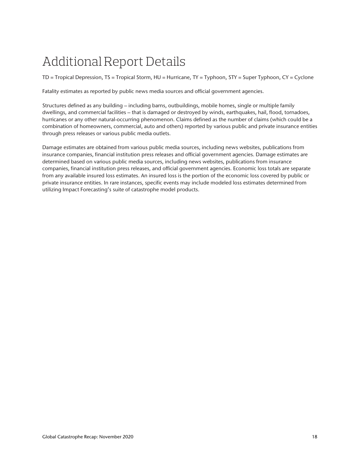## Additional Report Details

TD = Tropical Depression, TS = Tropical Storm, HU = Hurricane, TY = Typhoon, STY = Super Typhoon, CY = Cyclone

Fatality estimates as reported by public news media sources and official government agencies.

Structures defined as any building – including barns, outbuildings, mobile homes, single or multiple family dwellings, and commercial facilities – that is damaged or destroyed by winds, earthquakes, hail, flood, tornadoes, hurricanes or any other natural-occurring phenomenon. Claims defined as the number of claims (which could be a combination of homeowners, commercial, auto and others) reported by various public and private insurance entities through press releases or various public media outlets.

Damage estimates are obtained from various public media sources, including news websites, publications from insurance companies, financial institution press releases and official government agencies. Damage estimates are determined based on various public media sources, including news websites, publications from insurance companies, financial institution press releases, and official government agencies. Economic loss totals are separate from any available insured loss estimates. An insured loss is the portion of the economic loss covered by public or private insurance entities. In rare instances, specific events may include modeled loss estimates determined from utilizing Impact Forecasting's suite of catastrophe model products.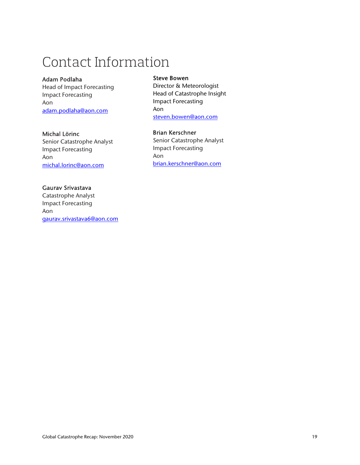## Contact Information

#### Adam Podlaha

Head of Impact Forecasting Impact Forecasting Aon adam.podlaha@aon.com

#### Michal Lörinc

Senior Catastrophe Analyst Impact Forecasting Aon michal.lorinc@aon.com

#### Gaurav Srivastava

Catastrophe Analyst Impact Forecasting Aon gaurav.srivastava6@aon.com

#### Steve Bowen

Director & Meteorologist Head of Catastrophe Insight Impact Forecasting Aon steven.bowen@aon.com

#### Brian Kerschner

Senior Catastrophe Analyst Impact Forecasting Aon brian.kerschner@aon.com